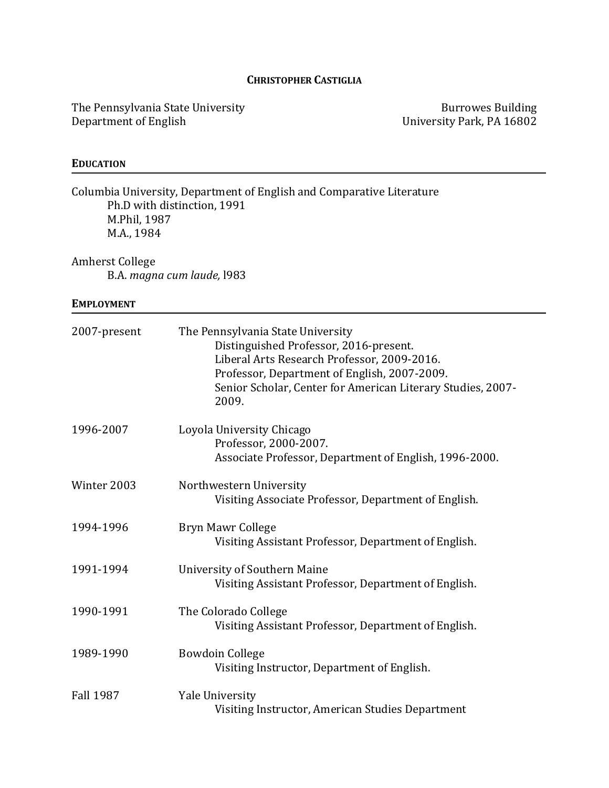# **CHRISTOPHER CASTIGLIA**

The Pennsylvania State University Department of English

**Burrowes Building** University Park, PA 16802

# **EDUCATION**

| Columbia University, Department of English and Comparative Literature<br>Ph.D with distinction, 1991<br>M.Phil, 1987<br>M.A., 1984<br><b>Amherst College</b><br>B.A. magna cum laude, 1983 |                                                                                                                                                                                                                                                    |  |
|--------------------------------------------------------------------------------------------------------------------------------------------------------------------------------------------|----------------------------------------------------------------------------------------------------------------------------------------------------------------------------------------------------------------------------------------------------|--|
|                                                                                                                                                                                            |                                                                                                                                                                                                                                                    |  |
| 2007-present                                                                                                                                                                               | The Pennsylvania State University<br>Distinguished Professor, 2016-present.<br>Liberal Arts Research Professor, 2009-2016.<br>Professor, Department of English, 2007-2009.<br>Senior Scholar, Center for American Literary Studies, 2007-<br>2009. |  |
| 1996-2007                                                                                                                                                                                  | Loyola University Chicago<br>Professor, 2000-2007.<br>Associate Professor, Department of English, 1996-2000.                                                                                                                                       |  |
| Winter 2003                                                                                                                                                                                | Northwestern University<br>Visiting Associate Professor, Department of English.                                                                                                                                                                    |  |
| 1994-1996                                                                                                                                                                                  | Bryn Mawr College<br>Visiting Assistant Professor, Department of English.                                                                                                                                                                          |  |
| 1991-1994                                                                                                                                                                                  | <b>University of Southern Maine</b><br>Visiting Assistant Professor, Department of English.                                                                                                                                                        |  |
| 1990-1991                                                                                                                                                                                  | The Colorado College<br>Visiting Assistant Professor, Department of English.                                                                                                                                                                       |  |
| 1989-1990                                                                                                                                                                                  | <b>Bowdoin College</b><br>Visiting Instructor, Department of English.                                                                                                                                                                              |  |
| <b>Fall 1987</b>                                                                                                                                                                           | <b>Yale University</b><br>Visiting Instructor, American Studies Department                                                                                                                                                                         |  |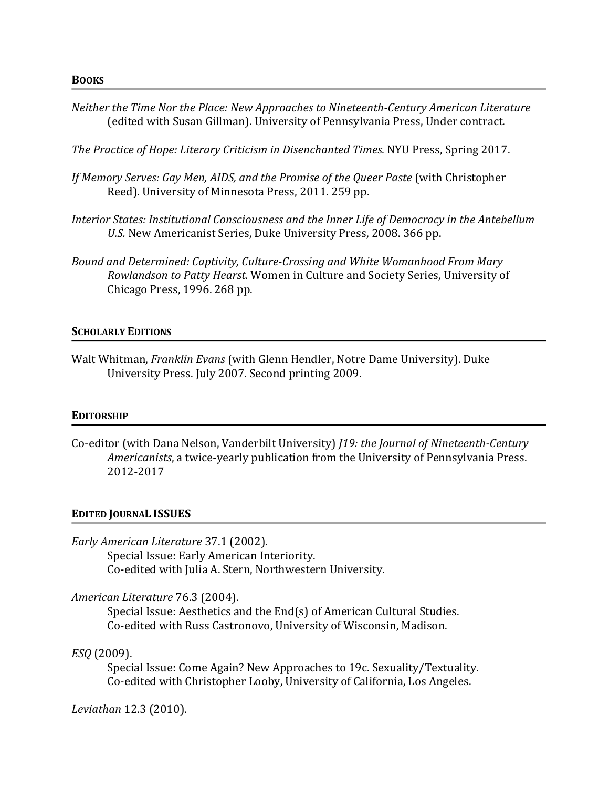*Neither the Time Nor the Place: New Approaches to Nineteenth-Century American Literature* (edited with Susan Gillman). University of Pennsylvania Press, Under contract.

The Practice of Hope: Literary Criticism in Disenchanted Times. NYU Press, Spring 2017.

- *If Memory Serves: Gay Men, AIDS, and the Promise of the Queer Paste* (with Christopher Reed). University of Minnesota Press, 2011. 259 pp.
- Interior States: Institutional Consciousness and the Inner Life of Democracy in the Antebellum U.S. New Americanist Series, Duke University Press, 2008. 366 pp.
- *Bound and Determined: Captivity, Culture-Crossing and White Womanhood From Mary Rowlandson to Patty Hearst.* Women in Culture and Society Series, University of Chicago Press, 1996. 268 pp.

#### **SCHOLARLY EDITIONS**

Walt Whitman, *Franklin Evans* (with Glenn Hendler, Notre Dame University). Duke University Press. July 2007. Second printing 2009.

#### **EDITORSHIP**

Co-editor (with Dana Nelson, Vanderbilt University) *[19: the Journal of Nineteenth-Century Americanists*, a twice-yearly publication from the University of Pennsylvania Press. 2012-2017

#### **EDITED JOURNAL ISSUES**

*Early American Literature* 37.1 (2002).

Special Issue: Early American Interiority. Co-edited with Julia A. Stern, Northwestern University.

#### *American Literature* 76.3 (2004).

Special Issue: Aesthetics and the  $End(s)$  of American Cultural Studies. Co-edited with Russ Castronovo, University of Wisconsin, Madison.

## *ESQ* (2009).

Special Issue: Come Again? New Approaches to 19c. Sexuality/Textuality. Co-edited with Christopher Looby, University of California, Los Angeles.

*Leviathan* 12.3 (2010).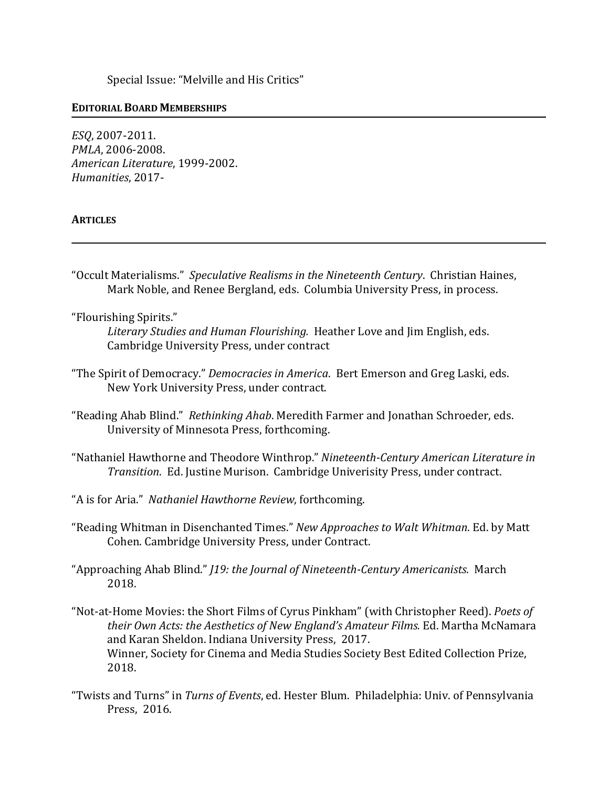Special Issue: "Melville and His Critics"

### **EDITORIAL BOARD MEMBERSHIPS**

*ESQ*, 2007-2011. *PMLA*, 2006-2008. *American Literature*, 1999-2002. *Humanities*, 2017-

### **ARTICLES**

"Occult Materialisms." *Speculative Realisms in the Nineteenth Century*. Christian Haines, Mark Noble, and Renee Bergland, eds. Columbia University Press, in process.

"Flourishing Spirits."

Literary Studies and Human Flourishing. Heather Love and Jim English, eds. Cambridge University Press, under contract

- "The Spirit of Democracy." *Democracies in America*. Bert Emerson and Greg Laski, eds. New York University Press, under contract.
- "Reading Ahab Blind." Rethinking Ahab. Meredith Farmer and Jonathan Schroeder, eds. University of Minnesota Press, forthcoming.
- "Nathaniel Hawthorne and Theodore Winthrop." Nineteenth-Century American Literature in *Transition.* Ed. Justine Murison. Cambridge Univerisity Press, under contract.
- "A is for Aria." Nathaniel Hawthorne Review, forthcoming.
- "Reading Whitman in Disenchanted Times." *New Approaches to Walt Whitman*. Ed. by Matt Cohen. Cambridge University Press, under Contract.
- "Approaching Ahab Blind." *J19: the Journal of Nineteenth-Century Americanists.* March 2018.
- "Not-at-Home Movies: the Short Films of Cyrus Pinkham" (with Christopher Reed). *Poets of* their Own Acts: the Aesthetics of New England's Amateur Films. Ed. Martha McNamara and Karan Sheldon. Indiana University Press, 2017. Winner, Society for Cinema and Media Studies Society Best Edited Collection Prize, 2018.
- "Twists and Turns" in *Turns of Events*, ed. Hester Blum. Philadelphia: Univ. of Pennsylvania Press, 2016.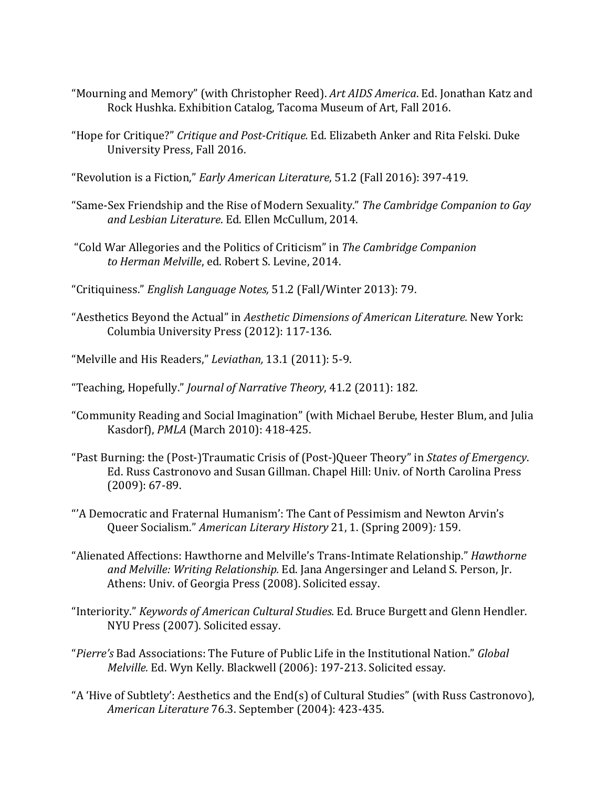- "Mourning and Memory" (with Christopher Reed). Art AIDS America. Ed. Jonathan Katz and Rock Hushka. Exhibition Catalog, Tacoma Museum of Art, Fall 2016.
- "Hope for Critique?" *Critique and Post-Critique.* Ed. Elizabeth Anker and Rita Felski. Duke University Press, Fall 2016.

"Revolution is a Fiction," *Early American Literature*, 51.2 (Fall 2016): 397-419.

- "Same-Sex Friendship and the Rise of Modern Sexuality." *The Cambridge Companion to Gay and Lesbian Literature*. Ed. Ellen McCullum, 2014.
- "Cold War Allegories and the Politics of Criticism" in The Cambridge Companion to Herman Melville, ed. Robert S. Levine, 2014.
- "Critiquiness." *English Language Notes,* 51.2 (Fall/Winter 2013): 79.
- "Aesthetics Beyond the Actual" in *Aesthetic Dimensions of American Literature*. New York: Columbia University Press (2012): 117-136.
- "Melville and His Readers," *Leviathan*, 13.1 (2011): 5-9.
- "Teaching, Hopefully." *Journal of Narrative Theory*, 41.2 (2011): 182.
- "Community Reading and Social Imagination" (with Michael Berube, Hester Blum, and Julia Kasdorf), *PMLA* (March 2010): 418-425.
- "Past Burning: the (Post-)Traumatic Crisis of (Post-)Queer Theory" in *States of Emergency*. Ed. Russ Castronovo and Susan Gillman. Chapel Hill: Univ. of North Carolina Press  $(2009): 67-89.$
- "'A Democratic and Fraternal Humanism': The Cant of Pessimism and Newton Arvin's Queer Socialism." American Literary History 21, 1. (Spring 2009): 159.
- "Alienated Affections: Hawthorne and Melville's Trans-Intimate Relationship." *Hawthorne* and Melville: Writing Relationship. Ed. Jana Angersinger and Leland S. Person, Jr. Athens: Univ. of Georgia Press (2008). Solicited essay.
- "Interiority." *Keywords of American Cultural Studies.* Ed. Bruce Burgett and Glenn Hendler. NYU Press (2007). Solicited essay.
- "*Pierre's* Bad Associations: The Future of Public Life in the Institutional Nation." *Global Melville.* Ed. Wyn Kelly. Blackwell (2006): 197-213. Solicited essay.
- "A 'Hive of Subtlety': Aesthetics and the End(s) of Cultural Studies" (with Russ Castronovo), *American Literature* 76.3. September (2004): 423-435.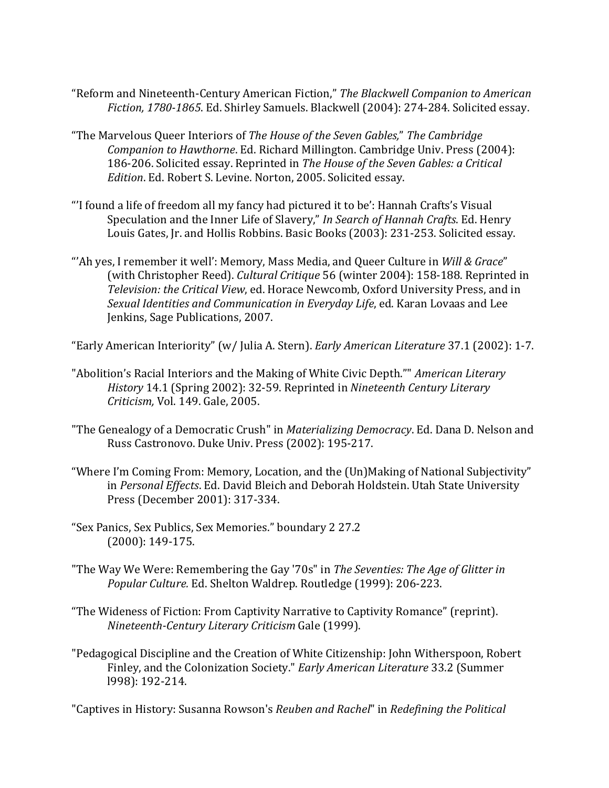- "Reform and Nineteenth-Century American Fiction," The Blackwell Companion to American Fiction, 1780-1865. Ed. Shirley Samuels. Blackwell (2004): 274-284. Solicited essay.
- "The Marvelous Queer Interiors of *The House of the Seven Gables," The Cambridge Companion to Hawthorne*. Ed. Richard Millington. Cambridge Univ. Press (2004): 186-206. Solicited essay. Reprinted in *The House of the Seven Gables: a Critical* Edition. Ed. Robert S. Levine. Norton, 2005. Solicited essay.
- "I found a life of freedom all my fancy had pictured it to be': Hannah Crafts's Visual Speculation and the Inner Life of Slavery," In Search of Hannah Crafts. Ed. Henry Louis Gates, Jr. and Hollis Robbins. Basic Books (2003): 231-253. Solicited essay.
- "Ah yes, I remember it well': Memory, Mass Media, and Queer Culture in *Will & Grace*" (with Christopher Reed). *Cultural Critique* 56 (winter 2004): 158-188. Reprinted in *Television: the Critical View*, ed. Horace Newcomb, Oxford University Press, and in *Sexual Identities and Communication in Everyday Life*, ed. Karan Lovaas and Lee Jenkins, Sage Publications, 2007.

"Early American Interiority" (w/ Julia A. Stern). *Early American Literature* 37.1 (2002): 1-7.

- "Abolition's Racial Interiors and the Making of White Civic Depth."" *American Literary History* 14.1 (Spring 2002): 32-59. Reprinted in *Nineteenth Century Literary Criticism,* Vol. 149. Gale, 2005.
- "The Genealogy of a Democratic Crush" in *Materializing Democracy*. Ed. Dana D. Nelson and Russ Castronovo. Duke Univ. Press (2002): 195-217.
- "Where I'm Coming From: Memory, Location, and the (Un)Making of National Subjectivity" in Personal Effects. Ed. David Bleich and Deborah Holdstein. Utah State University Press (December 2001): 317-334.
- "Sex Panics, Sex Publics, Sex Memories." boundary 2 27.2 (2000): 149-175.
- "The Way We Were: Remembering the Gay '70s" in *The Seventies: The Age of Glitter in* Popular Culture. Ed. Shelton Waldrep. Routledge (1999): 206-223.
- "The Wideness of Fiction: From Captivity Narrative to Captivity Romance" (reprint). *Nineteenth-Century Literary Criticism* Gale (1999).
- "Pedagogical Discipline and the Creation of White Citizenship: John Witherspoon, Robert Finley, and the Colonization Society." *Early American Literature* 33.2 (Summer l998): 192-214.

"Captives in History: Susanna Rowson's *Reuben and Rachel*" in *Redefining the Political*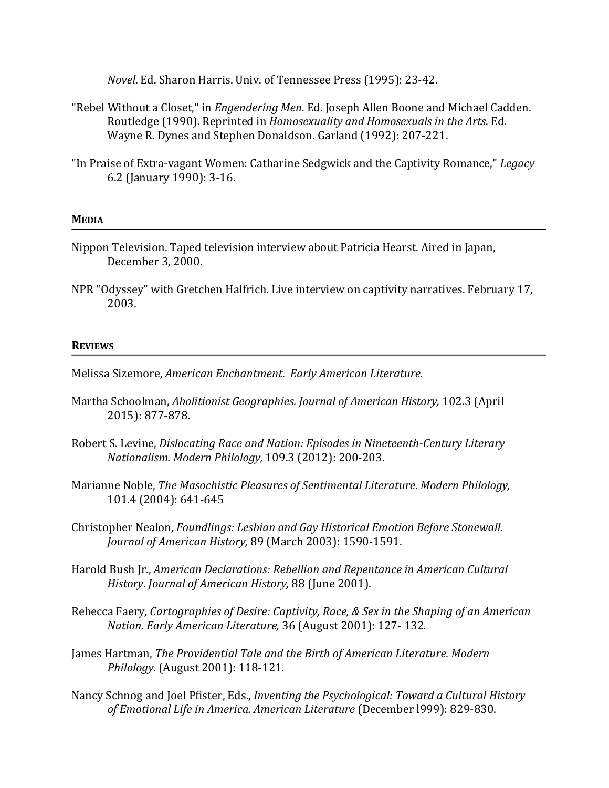*Novel*. Ed. Sharon Harris. Univ. of Tennessee Press (1995): 23-42.

- "Rebel Without a Closet," in *Engendering Men*. Ed. Joseph Allen Boone and Michael Cadden. Routledge (1990). Reprinted in *Homosexuality and Homosexuals in the Arts*. Ed. Wayne R. Dynes and Stephen Donaldson. Garland (1992): 207-221.
- "In Praise of Extra-vagant Women: Catharine Sedgwick and the Captivity Romance," *Legacy* 6.2 (January 1990): 3-16.

#### **MEDIA**

- Nippon Television. Taped television interview about Patricia Hearst. Aired in Japan, December 3, 2000.
- NPR "Odyssey" with Gretchen Halfrich. Live interview on captivity narratives. February 17, 2003.

#### **REVIEWS**

- Melissa Sizemore, *American Enchantment*. *Early American Literature.*
- Martha Schoolman, *Abolitionist Geographies. Journal of American History*, 102.3 (April 2015): 877-878.
- Robert S. Levine, *Dislocating Race and Nation: Episodes in Nineteenth-Century Literary Nationalism. Modern Philology,* 109.3 (2012): 200-203.
- Marianne Noble, *The Masochistic Pleasures of Sentimental Literature*. Modern Philology, 101.4 (2004): 641-645
- Christopher Nealon, *Foundlings: Lesbian and Gay Historical Emotion Before Stonewall. Journal of American History,* 89 (March 2003): 1590-1591.
- Harold Bush Jr., *American Declarations: Rebellion and Repentance in American Cultural History*. *Journal of American History,* 88 (June 2001).
- Rebecca Faery, *Cartographies of Desire: Captivity, Race, & Sex in the Shaping of an American Nation. Early American Literature,* 36 (August 2001): 127-132.
- James Hartman, *The Providential Tale and the Birth of American Literature. Modern Philology.* (August 2001): 118-121*.*
- Nancy Schnog and Joel Pfister, Eds., *Inventing the Psychological: Toward a Cultural History* of Emotional Life in America. American Literature (December 1999): 829-830.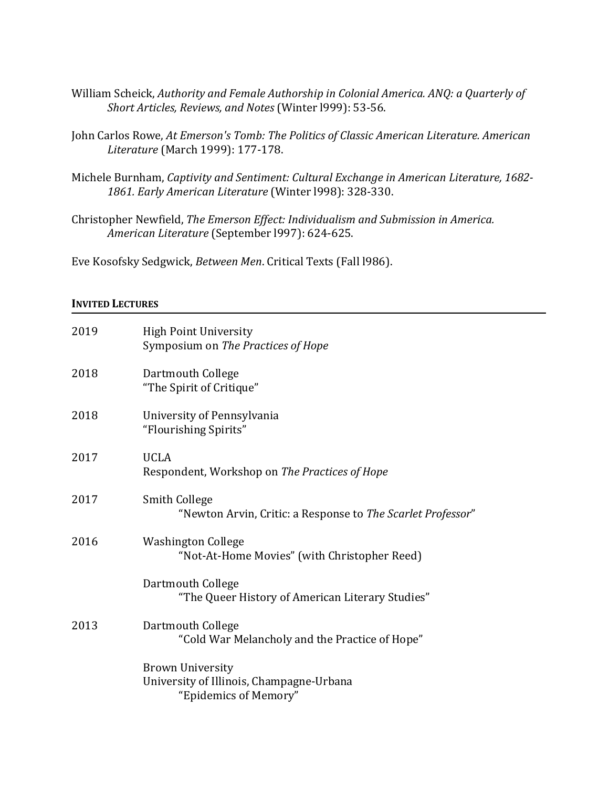- William Scheick, Authority and Female Authorship in Colonial America. ANQ: a Quarterly of Short Articles, Reviews, and Notes (Winter 1999): 53-56.
- John Carlos Rowe, At Emerson's Tomb: The Politics of Classic American Literature. American *Literature* (March 1999): 177-178.
- Michele Burnham, *Captivity and Sentiment: Cultural Exchange in American Literature, 1682-*1861. Early American Literature (Winter 1998): 328-330.
- Christopher Newfield, *The Emerson Effect: Individualism and Submission in America. American Literature* (September l997): 624-625.

Eve Kosofsky Sedgwick, Between Men. Critical Texts (Fall 1986).

#### **INVITED LECTURES**

| 2019 | <b>High Point University</b><br>Symposium on The Practices of Hope                           |
|------|----------------------------------------------------------------------------------------------|
| 2018 | Dartmouth College<br>"The Spirit of Critique"                                                |
| 2018 | University of Pennsylvania<br>"Flourishing Spirits"                                          |
| 2017 | <b>UCLA</b><br>Respondent, Workshop on The Practices of Hope                                 |
| 2017 | Smith College<br>"Newton Arvin, Critic: a Response to The Scarlet Professor"                 |
| 2016 | <b>Washington College</b><br>"Not-At-Home Movies" (with Christopher Reed)                    |
|      | Dartmouth College<br>"The Queer History of American Literary Studies"                        |
| 2013 | Dartmouth College<br>"Cold War Melancholy and the Practice of Hope"                          |
|      | <b>Brown University</b><br>University of Illinois, Champagne-Urbana<br>"Epidemics of Memory" |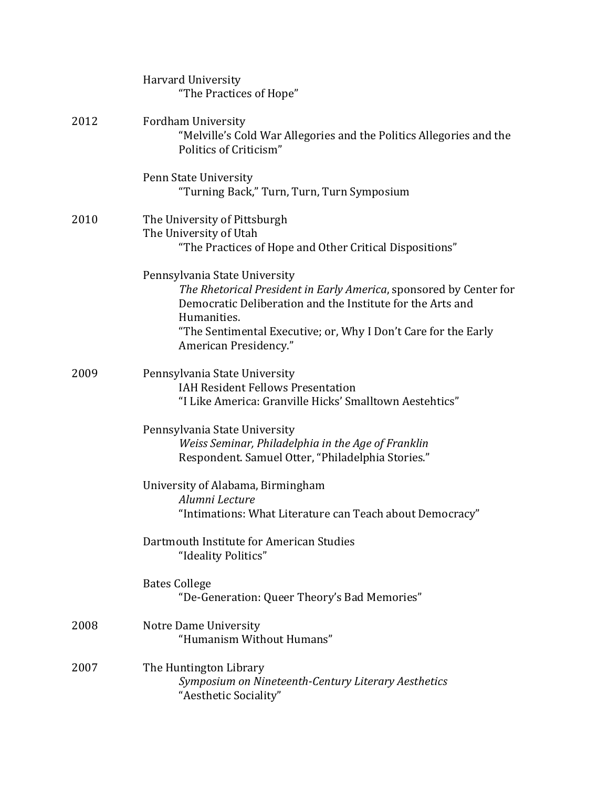|      | <b>Harvard University</b><br>"The Practices of Hope"                                                                                                                                                                                                                        |
|------|-----------------------------------------------------------------------------------------------------------------------------------------------------------------------------------------------------------------------------------------------------------------------------|
| 2012 | Fordham University<br>"Melville's Cold War Allegories and the Politics Allegories and the<br>Politics of Criticism"                                                                                                                                                         |
|      | Penn State University<br>"Turning Back," Turn, Turn, Turn Symposium                                                                                                                                                                                                         |
| 2010 | The University of Pittsburgh<br>The University of Utah<br>"The Practices of Hope and Other Critical Dispositions"                                                                                                                                                           |
|      | Pennsylvania State University<br>The Rhetorical President in Early America, sponsored by Center for<br>Democratic Deliberation and the Institute for the Arts and<br>Humanities.<br>"The Sentimental Executive; or, Why I Don't Care for the Early<br>American Presidency." |
| 2009 | Pennsylvania State University<br><b>IAH Resident Fellows Presentation</b><br>"I Like America: Granville Hicks' Smalltown Aestehtics"                                                                                                                                        |
|      | Pennsylvania State University<br>Weiss Seminar, Philadelphia in the Age of Franklin<br>Respondent. Samuel Otter, "Philadelphia Stories."                                                                                                                                    |
|      | University of Alabama, Birmingham<br>Alumni Lecture<br>"Intimations: What Literature can Teach about Democracy"                                                                                                                                                             |
|      | Dartmouth Institute for American Studies<br>"Ideality Politics"                                                                                                                                                                                                             |
|      | <b>Bates College</b><br>"De-Generation: Queer Theory's Bad Memories"                                                                                                                                                                                                        |
| 2008 | Notre Dame University<br>"Humanism Without Humans"                                                                                                                                                                                                                          |
| 2007 | The Huntington Library<br>Symposium on Nineteenth-Century Literary Aesthetics<br>"Aesthetic Sociality"                                                                                                                                                                      |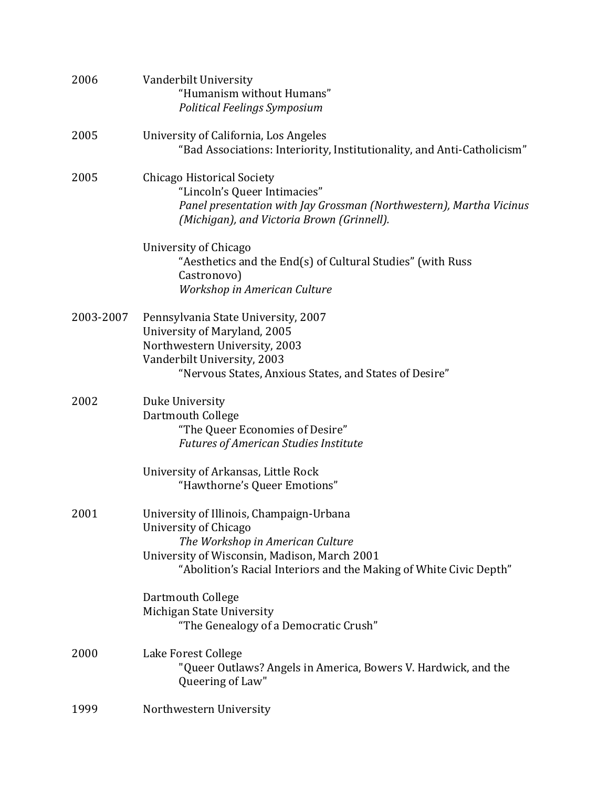| 2006      | Vanderbilt University<br>"Humanism without Humans"<br>Political Feelings Symposium                                                                                                                                          |
|-----------|-----------------------------------------------------------------------------------------------------------------------------------------------------------------------------------------------------------------------------|
| 2005      | University of California, Los Angeles<br>"Bad Associations: Interiority, Institutionality, and Anti-Catholicism"                                                                                                            |
| 2005      | Chicago Historical Society<br>"Lincoln's Queer Intimacies"<br>Panel presentation with Jay Grossman (Northwestern), Martha Vicinus<br>(Michigan), and Victoria Brown (Grinnell).                                             |
|           | University of Chicago<br>"Aesthetics and the End(s) of Cultural Studies" (with Russ<br>Castronovo)<br>Workshop in American Culture                                                                                          |
| 2003-2007 | Pennsylvania State University, 2007<br>University of Maryland, 2005<br>Northwestern University, 2003<br>Vanderbilt University, 2003<br>"Nervous States, Anxious States, and States of Desire"                               |
| 2002      | Duke University<br>Dartmouth College<br>"The Queer Economies of Desire"<br><b>Futures of American Studies Institute</b>                                                                                                     |
|           | University of Arkansas, Little Rock<br>"Hawthorne's Queer Emotions"                                                                                                                                                         |
| 2001      | University of Illinois, Champaign-Urbana<br>University of Chicago<br>The Workshop in American Culture<br>University of Wisconsin, Madison, March 2001<br>"Abolition's Racial Interiors and the Making of White Civic Depth" |
|           | Dartmouth College<br>Michigan State University<br>"The Genealogy of a Democratic Crush"                                                                                                                                     |
| 2000      | Lake Forest College<br>"Queer Outlaws? Angels in America, Bowers V. Hardwick, and the<br>Queering of Law"                                                                                                                   |
| 1999      | Northwestern University                                                                                                                                                                                                     |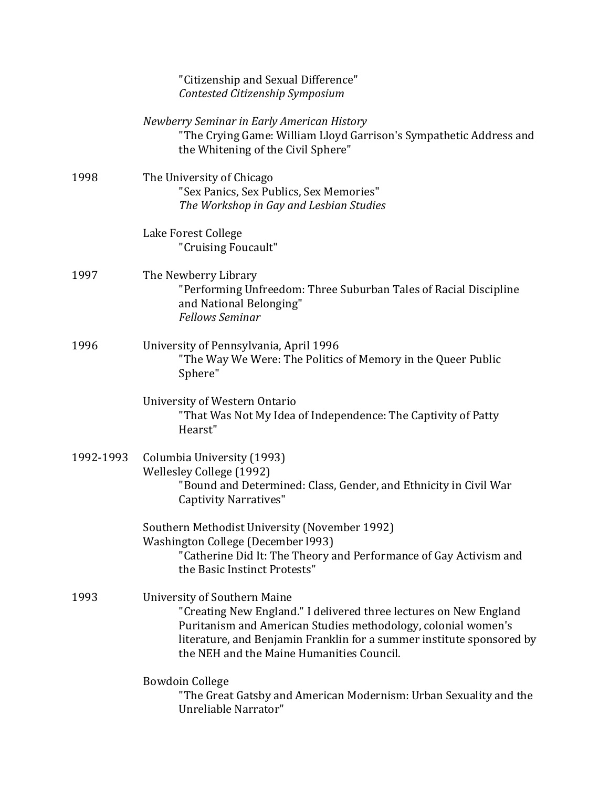|           | "Citizenship and Sexual Difference"<br>Contested Citizenship Symposium                                                                                                                                                                                                                          |
|-----------|-------------------------------------------------------------------------------------------------------------------------------------------------------------------------------------------------------------------------------------------------------------------------------------------------|
|           | Newberry Seminar in Early American History<br>"The Crying Game: William Lloyd Garrison's Sympathetic Address and<br>the Whitening of the Civil Sphere"                                                                                                                                          |
| 1998      | The University of Chicago<br>"Sex Panics, Sex Publics, Sex Memories"<br>The Workshop in Gay and Lesbian Studies                                                                                                                                                                                 |
|           | Lake Forest College<br>"Cruising Foucault"                                                                                                                                                                                                                                                      |
| 1997      | The Newberry Library<br>"Performing Unfreedom: Three Suburban Tales of Racial Discipline<br>and National Belonging"<br><b>Fellows Seminar</b>                                                                                                                                                   |
| 1996      | University of Pennsylvania, April 1996<br>"The Way We Were: The Politics of Memory in the Queer Public<br>Sphere"                                                                                                                                                                               |
|           | University of Western Ontario<br>"That Was Not My Idea of Independence: The Captivity of Patty<br>Hearst"                                                                                                                                                                                       |
| 1992-1993 | Columbia University (1993)<br>Wellesley College (1992)<br>"Bound and Determined: Class, Gender, and Ethnicity in Civil War<br><b>Captivity Narratives"</b>                                                                                                                                      |
|           | Southern Methodist University (November 1992)<br><b>Washington College (December 1993)</b><br>"Catherine Did It: The Theory and Performance of Gay Activism and<br>the Basic Instinct Protests"                                                                                                 |
| 1993      | <b>University of Southern Maine</b><br>"Creating New England." I delivered three lectures on New England<br>Puritanism and American Studies methodology, colonial women's<br>literature, and Benjamin Franklin for a summer institute sponsored by<br>the NEH and the Maine Humanities Council. |
|           | <b>Bowdoin College</b><br>"The Great Gatsby and American Modernism: Urban Sexuality and the<br>Unreliable Narrator"                                                                                                                                                                             |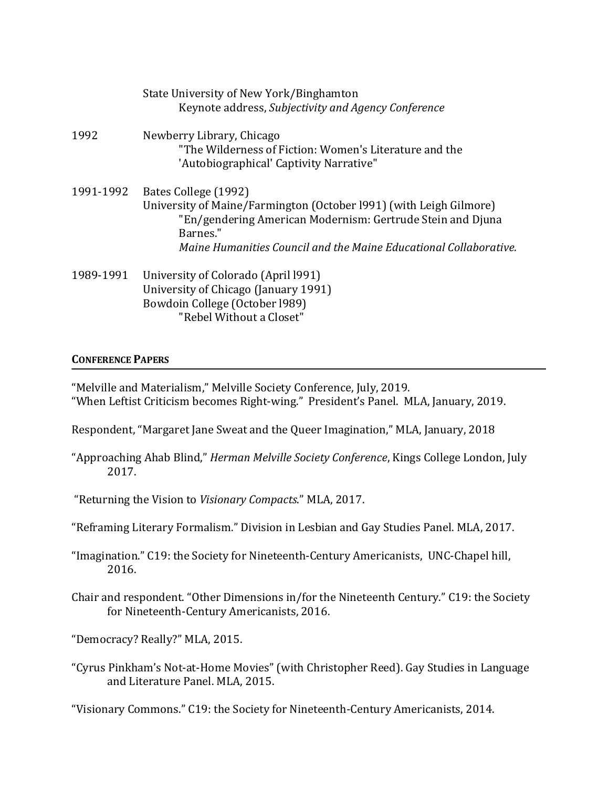|           | State University of New York/Binghamton<br>Keynote address, Subjectivity and Agency Conference                                                                                                                                            |
|-----------|-------------------------------------------------------------------------------------------------------------------------------------------------------------------------------------------------------------------------------------------|
| 1992      | Newberry Library, Chicago<br>"The Wilderness of Fiction: Women's Literature and the<br>'Autobiographical' Captivity Narrative"                                                                                                            |
| 1991-1992 | Bates College (1992)<br>University of Maine/Farmington (October 1991) (with Leigh Gilmore)<br>"En/gendering American Modernism: Gertrude Stein and Djuna<br>Barnes."<br>Maine Humanities Council and the Maine Educational Collaborative. |
| 1989-1991 | University of Colorado (April 1991)<br>University of Chicago (January 1991)<br>Bowdoin College (October 1989)<br>"Rebel Without a Closet"                                                                                                 |

## **CONFERENCE PAPERS**

"Melville and Materialism," Melville Society Conference, July, 2019. "When Leftist Criticism becomes Right-wing." President's Panel. MLA, January, 2019.

Respondent, "Margaret Jane Sweat and the Queer Imagination," MLA, January, 2018

"Approaching Ahab Blind," *Herman Melville Society Conference*, Kings College London, July 2017.

"Returning the Vision to Visionary Compacts." MLA, 2017.

- "Reframing Literary Formalism." Division in Lesbian and Gay Studies Panel. MLA, 2017.
- "Imagination." C19: the Society for Nineteenth-Century Americanists, UNC-Chapel hill, 2016.
- Chair and respondent. "Other Dimensions in/for the Nineteenth Century." C19: the Society for Nineteenth-Century Americanists, 2016.

"Democracy? Really?" MLA, 2015.

"Cyrus Pinkham's Not-at-Home Movies" (with Christopher Reed). Gay Studies in Language and Literature Panel. MLA, 2015.

"Visionary Commons." C19: the Society for Nineteenth-Century Americanists, 2014.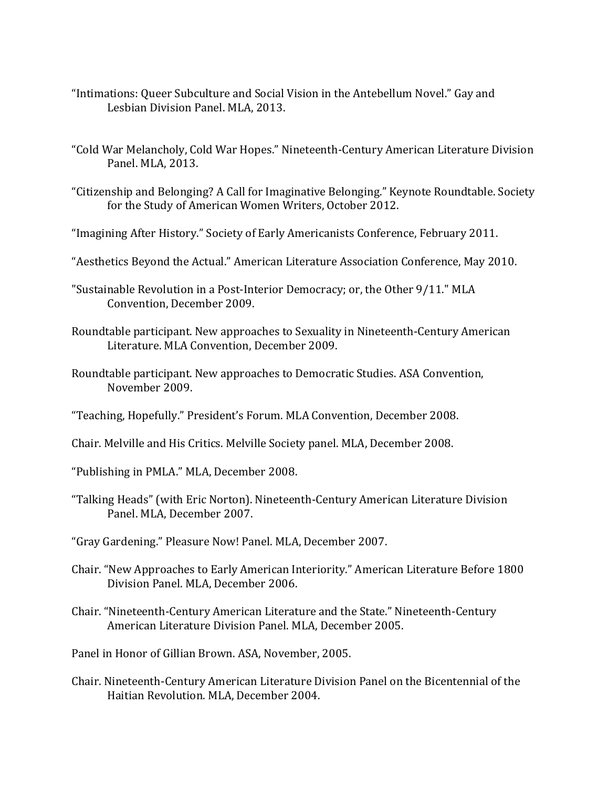- "Intimations: Queer Subculture and Social Vision in the Antebellum Novel." Gay and Lesbian Division Panel. MLA, 2013.
- "Cold War Melancholy, Cold War Hopes." Nineteenth-Century American Literature Division Panel. MLA, 2013.
- "Citizenship and Belonging? A Call for Imaginative Belonging." Keynote Roundtable. Society for the Study of American Women Writers, October 2012.
- "Imagining After History." Society of Early Americanists Conference, February 2011.
- "Aesthetics Beyond the Actual." American Literature Association Conference, May 2010.
- "Sustainable Revolution in a Post-Interior Democracy; or, the Other 9/11." MLA Convention, December 2009.
- Roundtable participant. New approaches to Sexuality in Nineteenth-Century American Literature. MLA Convention, December 2009.
- Roundtable participant. New approaches to Democratic Studies. ASA Convention, November 2009.
- "Teaching, Hopefully." President's Forum. MLA Convention, December 2008.
- Chair. Melville and His Critics. Melville Society panel. MLA, December 2008.
- "Publishing in PMLA." MLA, December 2008.
- "Talking Heads" (with Eric Norton). Nineteenth-Century American Literature Division Panel. MLA, December 2007.
- "Gray Gardening." Pleasure Now! Panel. MLA, December 2007.
- Chair. "New Approaches to Early American Interiority." American Literature Before 1800 Division Panel. MLA, December 2006.
- Chair. "Nineteenth-Century American Literature and the State." Nineteenth-Century American Literature Division Panel. MLA, December 2005.
- Panel in Honor of Gillian Brown. ASA, November, 2005.
- Chair. Nineteenth-Century American Literature Division Panel on the Bicentennial of the Haitian Revolution. MLA, December 2004.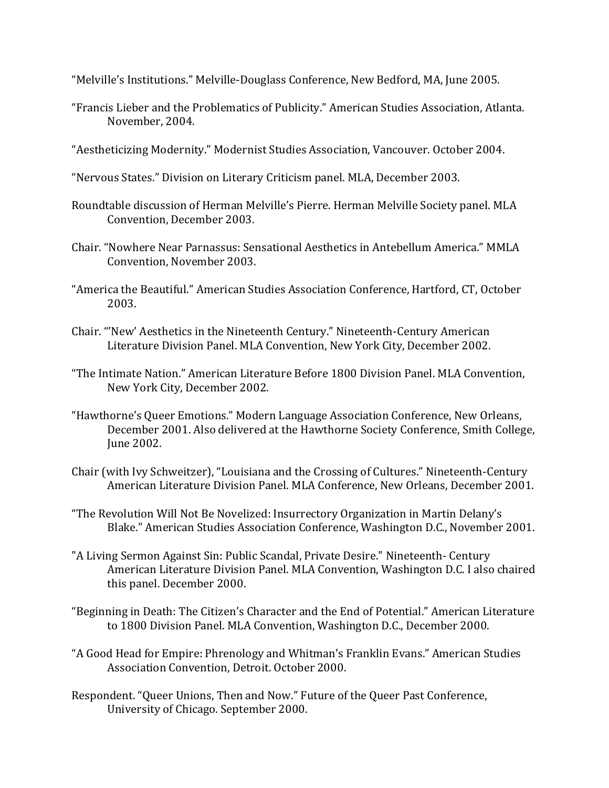"Melville's Institutions." Melville-Douglass Conference, New Bedford, MA, June 2005.

- "Francis Lieber and the Problematics of Publicity." American Studies Association, Atlanta. November, 2004.
- "Aestheticizing Modernity." Modernist Studies Association, Vancouver. October 2004.
- "Nervous States." Division on Literary Criticism panel. MLA, December 2003.
- Roundtable discussion of Herman Melville's Pierre. Herman Melville Society panel. MLA Convention, December 2003.
- Chair. "Nowhere Near Parnassus: Sensational Aesthetics in Antebellum America." MMLA Convention, November 2003.
- "America the Beautiful." American Studies Association Conference, Hartford, CT, October 2003.
- Chair. "'New' Aesthetics in the Nineteenth Century." Nineteenth-Century American Literature Division Panel. MLA Convention, New York City, December 2002.
- "The Intimate Nation." American Literature Before 1800 Division Panel. MLA Convention, New York City, December 2002.
- "Hawthorne's Queer Emotions." Modern Language Association Conference, New Orleans, December 2001. Also delivered at the Hawthorne Society Conference, Smith College, June 2002.
- Chair (with Ivy Schweitzer), "Louisiana and the Crossing of Cultures." Nineteenth-Century American Literature Division Panel, MLA Conference, New Orleans, December 2001.
- "The Revolution Will Not Be Novelized: Insurrectory Organization in Martin Delany's Blake." American Studies Association Conference, Washington D.C., November 2001.
- "A Living Sermon Against Sin: Public Scandal, Private Desire." Nineteenth- Century American Literature Division Panel. MLA Convention, Washington D.C. I also chaired this panel. December 2000.
- "Beginning in Death: The Citizen's Character and the End of Potential." American Literature to 1800 Division Panel. MLA Convention, Washington D.C., December 2000.
- "A Good Head for Empire: Phrenology and Whitman's Franklin Evans." American Studies Association Convention, Detroit. October 2000.
- Respondent. "Queer Unions, Then and Now." Future of the Queer Past Conference, University of Chicago. September 2000.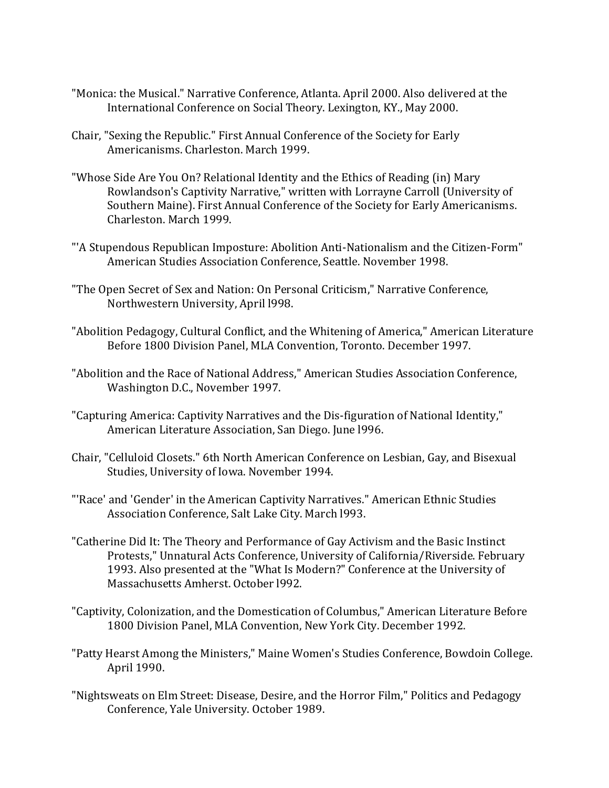- "Monica: the Musical." Narrative Conference, Atlanta. April 2000. Also delivered at the International Conference on Social Theory. Lexington, KY., May 2000.
- Chair, "Sexing the Republic." First Annual Conference of the Society for Early Americanisms. Charleston. March 1999.
- "Whose Side Are You On? Relational Identity and the Ethics of Reading (in) Mary Rowlandson's Captivity Narrative," written with Lorrayne Carroll (University of Southern Maine). First Annual Conference of the Society for Early Americanisms. Charleston. March 1999.
- "'A Stupendous Republican Imposture: Abolition Anti-Nationalism and the Citizen-Form" American Studies Association Conference, Seattle. November 1998.
- "The Open Secret of Sex and Nation: On Personal Criticism," Narrative Conference, Northwestern University, April 1998.
- "Abolition Pedagogy, Cultural Conflict, and the Whitening of America," American Literature Before 1800 Division Panel, MLA Convention, Toronto. December 1997.
- "Abolition and the Race of National Address," American Studies Association Conference, Washington D.C., November 1997.
- "Capturing America: Captivity Narratives and the Dis-figuration of National Identity," American Literature Association, San Diego. June 1996.
- Chair, "Celluloid Closets." 6th North American Conference on Lesbian, Gay, and Bisexual Studies, University of Iowa. November 1994.
- "'Race' and 'Gender' in the American Captivity Narratives." American Ethnic Studies Association Conference, Salt Lake City. March 1993.
- "Catherine Did It: The Theory and Performance of Gay Activism and the Basic Instinct Protests," Unnatural Acts Conference, University of California/Riverside. February 1993. Also presented at the "What Is Modern?" Conference at the University of Massachusetts Amherst. October 1992.
- "Captivity, Colonization, and the Domestication of Columbus," American Literature Before 1800 Division Panel, MLA Convention, New York City. December 1992.
- "Patty Hearst Among the Ministers," Maine Women's Studies Conference, Bowdoin College. April 1990.
- "Nightsweats on Elm Street: Disease, Desire, and the Horror Film," Politics and Pedagogy Conference, Yale University. October 1989.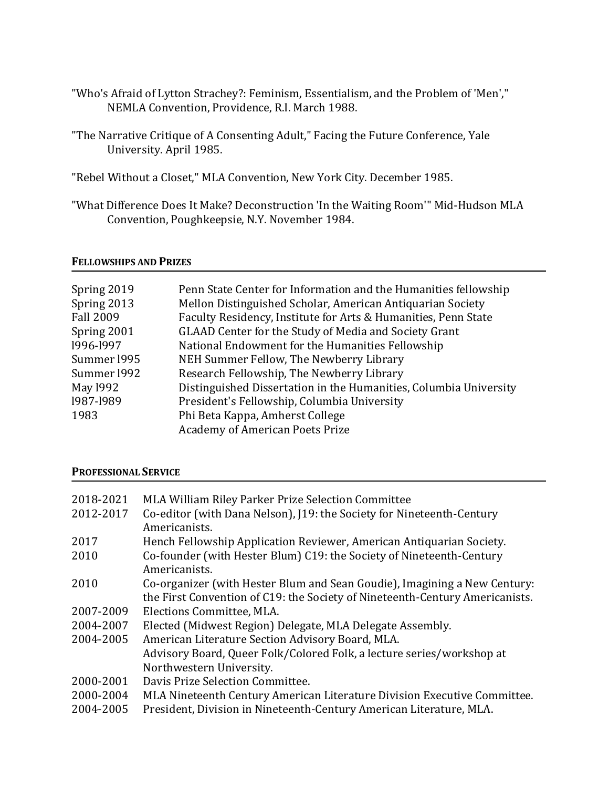- "Who's Afraid of Lytton Strachey?: Feminism, Essentialism, and the Problem of 'Men'," NEMLA Convention, Providence, R.I. March 1988.
- "The Narrative Critique of A Consenting Adult," Facing the Future Conference, Yale University. April 1985.
- "Rebel Without a Closet," MLA Convention, New York City. December 1985.
- "What Difference Does It Make? Deconstruction 'In the Waiting Room'" Mid-Hudson MLA Convention, Poughkeepsie, N.Y. November 1984.

### **FELLOWSHIPS AND PRIZES**

## **PROFESSIONAL SERVICE**

| 2018-2021 | MLA William Riley Parker Prize Selection Committee                           |
|-----------|------------------------------------------------------------------------------|
| 2012-2017 | Co-editor (with Dana Nelson), [19: the Society for Nineteenth-Century        |
|           | Americanists.                                                                |
| 2017      | Hench Fellowship Application Reviewer, American Antiquarian Society.         |
| 2010      | Co-founder (with Hester Blum) C19: the Society of Nineteenth-Century         |
|           | Americanists.                                                                |
| 2010      | Co-organizer (with Hester Blum and Sean Goudie), Imagining a New Century:    |
|           | the First Convention of C19: the Society of Nineteenth-Century Americanists. |
| 2007-2009 | Elections Committee, MLA.                                                    |
| 2004-2007 | Elected (Midwest Region) Delegate, MLA Delegate Assembly.                    |
| 2004-2005 | American Literature Section Advisory Board, MLA.                             |
|           | Advisory Board, Queer Folk/Colored Folk, a lecture series/workshop at        |
|           | Northwestern University.                                                     |
| 2000-2001 | Davis Prize Selection Committee.                                             |
| 2000-2004 | MLA Nineteenth Century American Literature Division Executive Committee.     |
| 2004-2005 | President, Division in Nineteenth-Century American Literature, MLA.          |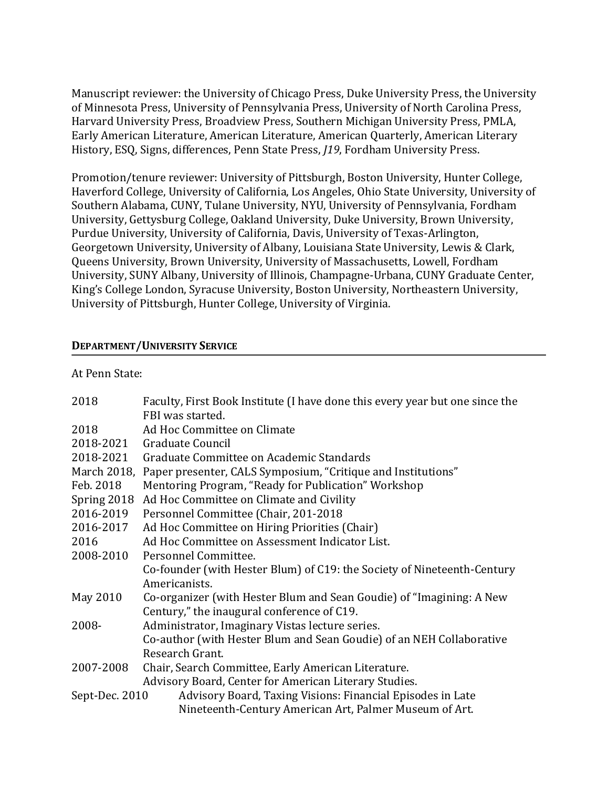Manuscript reviewer: the University of Chicago Press, Duke University Press, the University of Minnesota Press, University of Pennsylvania Press, University of North Carolina Press, Harvard University Press, Broadview Press, Southern Michigan University Press, PMLA, Early American Literature, American Literature, American Quarterly, American Literary History, ESQ, Signs, differences, Penn State Press, *[19*, Fordham University Press.

Promotion/tenure reviewer: University of Pittsburgh, Boston University, Hunter College, Haverford College, University of California, Los Angeles, Ohio State University, University of Southern Alabama, CUNY, Tulane University, NYU, University of Pennsylvania, Fordham University, Gettysburg College, Oakland University, Duke University, Brown University, Purdue University, University of California, Davis, University of Texas-Arlington, Georgetown University, University of Albany, Louisiana State University, Lewis & Clark, Queens University, Brown University, University of Massachusetts, Lowell, Fordham University, SUNY Albany, University of Illinois, Champagne-Urbana, CUNY Graduate Center, King's College London, Syracuse University, Boston University, Northeastern University, University of Pittsburgh, Hunter College, University of Virginia.

## **DEPARTMENT/UNIVERSITY SERVICE**

At Penn State:

| 2018           | Faculty, First Book Institute (I have done this every year but one since the<br>FBI was started. |
|----------------|--------------------------------------------------------------------------------------------------|
| 2018           | Ad Hoc Committee on Climate                                                                      |
| 2018-2021      | Graduate Council                                                                                 |
| 2018-2021      | Graduate Committee on Academic Standards                                                         |
|                | March 2018, Paper presenter, CALS Symposium, "Critique and Institutions"                         |
| Feb. 2018      | Mentoring Program, "Ready for Publication" Workshop                                              |
| Spring 2018    | Ad Hoc Committee on Climate and Civility                                                         |
| 2016-2019      | Personnel Committee (Chair, 201-2018                                                             |
| 2016-2017      | Ad Hoc Committee on Hiring Priorities (Chair)                                                    |
| 2016           | Ad Hoc Committee on Assessment Indicator List.                                                   |
| 2008-2010      | Personnel Committee.                                                                             |
|                | Co-founder (with Hester Blum) of C19: the Society of Nineteenth-Century                          |
|                | Americanists.                                                                                    |
| May 2010       | Co-organizer (with Hester Blum and Sean Goudie) of "Imagining: A New                             |
|                | Century," the inaugural conference of C19.                                                       |
| 2008-          | Administrator, Imaginary Vistas lecture series.                                                  |
|                | Co-author (with Hester Blum and Sean Goudie) of an NEH Collaborative                             |
|                | Research Grant.                                                                                  |
| 2007-2008      | Chair, Search Committee, Early American Literature.                                              |
|                | Advisory Board, Center for American Literary Studies.                                            |
| Sept-Dec. 2010 | Advisory Board, Taxing Visions: Financial Episodes in Late                                       |
|                | Nineteenth-Century American Art, Palmer Museum of Art.                                           |